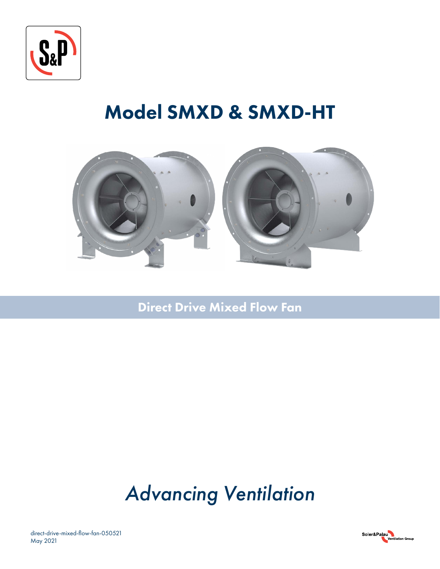

# Model SMXD & SMXD-HT



Direct Drive Mixed Flow Fan

# *Advancing Ventilation*

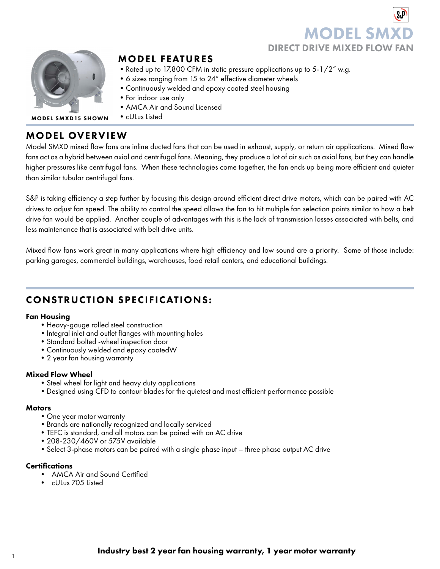# **MODEL SI** DIRECT DRIVE MIXED FLOW FAN



# MODEL FEATURES

- Rated up to 17,800 CFM in static pressure applications up to 5-1/2" w.g.
- •6 sizes ranging from 15 to 24" effective diameter wheels
- •Continuously welded and epoxy coated steel housing
- •For indoor use only
- •AMCA Air and Sound Licensed
- cULus Listed MODEL SMXD15 SHOWN

# MODEL OVERVIEW

Model SMXD mixed flow fans are inline ducted fans that can be used in exhaust, supply, or return air applications. Mixed flow fans act as a hybrid between axial and centrifugal fans. Meaning, they produce a lot of air such as axial fans, but they can handle higher pressures like centrifugal fans. When these technologies come together, the fan ends up being more efficient and quieter than similar tubular centrifugal fans.

S&P is taking efficiency a step further by focusing this design around efficient direct drive motors, which can be paired with AC drives to adjust fan speed. The ability to control the speed allows the fan to hit multiple fan selection points similar to how a belt drive fan would be applied. Another couple of advantages with this is the lack of transmission losses associated with belts, and less maintenance that is associated with belt drive units.

Mixed flow fans work great in many applications where high efficiency and low sound are a priority. Some of those include: parking garages, commercial buildings, warehouses, food retail centers, and educational buildings.

# CONSTRUCTION SPECIFICATIONS:

### Fan Housing

- •Heavy-gauge rolled steel construction
- Integral inlet and outlet flanges with mounting holes
- •Standard bolted -wheel inspection door
- •Continuously welded and epoxy coatedW
- •2 year fan housing warranty

### Mixed Flow Wheel

- •Steel wheel for light and heavy duty applications
- •Designed using CFD to contour blades for the quietest and most efficient performance possible

### **Motors**

- •One year motor warranty
- •Brands are nationally recognized and locally serviced
- •TEFC is standard, and all motors can be paired with an AC drive
- •208-230/460V or 575V available
- •Select 3-phase motors can be paired with a single phase input three phase output AC drive

### **Certifications**

- AMCA Air and Sound Certified
- cULus 705 Listed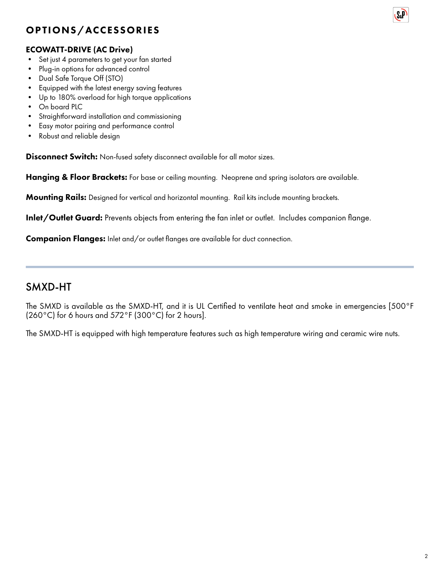# OPTIONS/ACCESSORIES



- Set just 4 parameters to get your fan started
- Plug-in options for advanced control
- Dual Safe Torque Off (STO)
- Equipped with the latest energy saving features
- Up to 180% overload for high torque applications
- On board PLC
- Straightforward installation and commissioning
- Easy motor pairing and performance control
- Robust and reliable design

**Disconnect Switch:** Non-fused safety disconnect available for all motor sizes.

Hanging & Floor Brackets: For base or ceiling mounting. Neoprene and spring isolators are available.

Mounting Rails: Designed for vertical and horizontal mounting. Rail kits include mounting brackets.

Inlet/Outlet Guard: Prevents objects from entering the fan inlet or outlet. Includes companion flange.

**Companion Flanges:** Inlet and/or outlet flanges are available for duct connection.

# SMXD-HT

The SMXD is available as the SMXD-HT, and it is UL Certified to ventilate heat and smoke in emergencies [500°F  $(260^{\circ}$ C) for 6 hours and 572 $^{\circ}$ F (300 $^{\circ}$ C) for 2 hours].

The SMXD-HT is equipped with high temperature features such as high temperature wiring and ceramic wire nuts.

**S**<sub>a</sub>P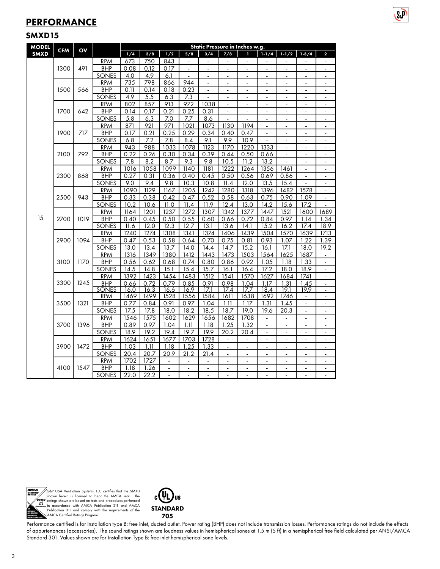# **PERFORMANCE**

### SMXD15

| <b>MODEL</b> | <b>CFM</b> | OV   |                     | Static Pressure in Inches w.g. |                           |                  |                |                |                          |                |                          |                          |                      |                                  |  |  |
|--------------|------------|------|---------------------|--------------------------------|---------------------------|------------------|----------------|----------------|--------------------------|----------------|--------------------------|--------------------------|----------------------|----------------------------------|--|--|
| <b>SMXD</b>  |            |      |                     | 1/4                            | 3/8                       | 1/2              | 5/8            | 3/4            | 7/8                      | 1              | $1 - 1/4$                | $1-1/2$                  | $1 - 3/4$            | $\overline{\mathbf{2}}$          |  |  |
|              |            |      | <b>RPM</b>          | 673                            | 750                       | 843              | $\blacksquare$ |                |                          | $\blacksquare$ |                          |                          |                      | $\overline{\phantom{a}}$         |  |  |
|              | 1300       | 491  | <b>BHP</b>          | 0.08                           | 0.12                      | 0.17             | $\blacksquare$ | $\blacksquare$ | $\blacksquare$           | $\blacksquare$ | $\blacksquare$           | $\blacksquare$           | $\blacksquare$       | $\overline{\phantom{a}}$         |  |  |
|              |            |      | <b>SONES</b>        | 4.0                            | 4.9                       | 6.1              | ÷,             |                |                          |                |                          |                          |                      |                                  |  |  |
|              |            |      | <b>RPM</b>          | 735                            | 798                       | 866              | 944            | ÷,             | $\blacksquare$           | ÷,             | $\blacksquare$           | $\overline{a}$           | ä,                   | ÷,                               |  |  |
|              | 1500       | 566  | <b>BHP</b>          | 0.11                           | 0.14                      | 0.18             | 0.23           | ÷              | $\overline{\phantom{a}}$ | $\blacksquare$ | $\overline{\phantom{a}}$ | $\overline{\phantom{a}}$ | $\ddot{\phantom{1}}$ | ÷                                |  |  |
|              |            |      | SONES               | 4.9                            | 5.5                       | $6.\overline{3}$ | 7.3            |                |                          | $\blacksquare$ |                          |                          |                      | ÷                                |  |  |
|              |            |      | <b>RPM</b>          | 802                            | 857                       | 913              | 972            | 1038           | $\tilde{\phantom{a}}$    | $\blacksquare$ | $\blacksquare$           | $\blacksquare$           | $\blacksquare$       | $\blacksquare$                   |  |  |
|              | 1700       | 642  | <b>BHP</b>          | 0.14                           | 0.17                      | 0.21             | 0.25           | 0.31           | $\blacksquare$           | ÷,             | ÷                        | $\overline{\phantom{a}}$ |                      | ÷,                               |  |  |
|              |            |      | SONES               | 5.8                            | 6.3                       | 7.0              | 7.7            | 8.6            | $\overline{a}$           | $\mathbf{r}$   | $\mathbf{r}$             | $\mathbf{r}$             | ÷.                   | $\overline{a}$                   |  |  |
|              |            |      | <b>RPM</b>          | 871                            | 921                       | 971              | 1021           | 1073           | 1130                     | 1194           |                          |                          |                      | $\overline{a}$                   |  |  |
|              | 1900       | 717  | <b>BHP</b>          | 0.17                           | 0.21                      | 0.25             | 0.29           | 0.34           | 0.40                     | 0.47           |                          |                          |                      |                                  |  |  |
|              |            |      | SONES               | 6.8                            | 7.2                       | 7.8              | 8.4            | 9.1            | 9.9                      | 10.9           |                          | $\blacksquare$           | $\blacksquare$       | $\blacksquare$                   |  |  |
|              |            |      | <b>RPM</b>          | 943                            | 988                       | 1033             | 1078           | 1123           | 1170                     | 1220           | 1333                     | L,                       |                      | ÷,                               |  |  |
|              | 2100       | 792  | <b>BHP</b>          | 0.22                           | 0.26                      | 0.30             | 0.34           | 0.39           | 0.44                     | 0.50           | 0.66                     | ÷,                       | ä,                   | $\blacksquare$                   |  |  |
| 2500         |            |      | <b>SONES</b>        | 7.8                            | 8.2                       | 8.7              | 9.3            | 9.8            | 10.5                     | 11.2           | 13.2                     |                          | $\blacksquare$       | $\blacksquare$                   |  |  |
|              |            | 868  | <b>RPM</b>          | 1016                           | 1058                      | 1099             | 1140           | 1181           | 1222                     | 1264           | 1356                     | 1461                     |                      | ÷                                |  |  |
|              | 2300       |      | <b>BHP</b>          | 0.27                           | 0.31                      | 0.36             | 0.40           | 0.45           | 0.50                     | 0.56           | 0.69                     | 0.86                     | $\overline{a}$       | $\blacksquare$                   |  |  |
|              |            |      | SONES               | 9.0                            | 9.4                       | 9.8              | 10.3           | 10.8           | 11.4                     | 12.0           | 13.5                     | 15.4                     |                      | $\overline{a}$                   |  |  |
|              |            |      | <b>RPM</b>          | 1090                           | 1129                      | 1167             | 1205           | 1242           | 1280                     | 1318           | 1396                     | 1482                     | 1578                 | $\blacksquare$                   |  |  |
|              |            | 943  | <b>BHP</b>          | 0.33                           | 0.38                      | 0.42             | 0.47           | 0.52           | 0.58                     | 0.63           | 0.75                     | 0.90                     | 1.09                 | $\blacksquare$                   |  |  |
|              |            |      | <b>SONES</b>        | 10.2                           | 10.6                      | 11.0             | 11.4           | 11.9           | 12.4                     | 13.0           | 14.2                     | 15.6                     | 17.2                 |                                  |  |  |
|              |            |      | <b>RPM</b>          | 1164                           | 1201                      | 1237             | 1272           | 1307           | 1342                     | 1377           | 1447                     | 1521                     | 1600                 | 1689                             |  |  |
| 15           | 2700       | 1019 | <b>BHP</b>          | 0.40                           | 0.45                      | 0.50             | 0.55           | 0.60           | 0.66                     | 0.72           | 0.84                     | 0.97                     | 1.14                 | 1.34                             |  |  |
|              |            |      | SONES               | 11.6                           | 12.0                      | 12.3             | 12.7           | 13.1           | 13.6                     | 14.1           | 15.2                     | 16.2                     | 17.4                 | 18.9                             |  |  |
|              | 2900       | 1094 | <b>RPM</b>          | 1240                           | $\overline{1}274$         | 1308             | 1341           | 1374           | 1406                     | 1439           | 1504                     | 1570                     | 1639                 | 1713                             |  |  |
|              |            |      | <b>BHP</b>          | 0.47                           | 0.53                      | 0.58             | 0.64           | 0.70           | 0.75                     | 0.81           | 0.93                     | 1.07                     | 1.22                 | 1.39                             |  |  |
|              |            |      | SONES               | 13.0                           | 13.4                      | 13.7             | 14.0           | 14.4           | 14.7                     | 15.2           | 16.1                     | 17.1                     | 18.0                 | 19.2                             |  |  |
|              |            |      | <b>RPM</b>          | 1316                           | 1349                      | 1380             | 1412           | 1443           | 1473                     | 1503           | 1564                     | 1625                     | 1687                 | $\overline{\phantom{a}}$         |  |  |
|              | 3100       | 1170 | <b>BHP</b>          | 0.56                           | 0.62<br>$\overline{1}4.8$ | 0.68             | 0.74           | 0.80           | 0.86                     | 0.92           | 1.05                     | 1.18                     | 1.33                 | ÷.                               |  |  |
|              |            |      | SONES<br><b>RPM</b> | 14.5<br>1392                   | 1423                      | 15.1<br>1454     | 15.4<br>1483   | 15.7<br>1512   | 16.1<br>1541             | 16.4<br>1570   | 17.2<br>1627             | 18.0<br>1684             | 18.9<br>1741         | $\overline{a}$<br>ä,             |  |  |
|              | 3300       | 1245 | <b>BHP</b>          | 0.66                           | 0.72                      | 0.79             | 0.85           | 0.91           | 0.98                     | 1.04           | 1.17                     | 1.31                     | 1.45                 |                                  |  |  |
|              |            |      | <b>SONES</b>        | 16.0                           | 16.3                      | 16.6             | 16.9           | 171            | 17.4                     | 177            | 18.4                     | 19.1                     | 19.9                 | $\blacksquare$<br>$\blacksquare$ |  |  |
|              |            |      | <b>RPM</b>          | 1469                           | 1499                      | 1528             | 1556           | 1584           | 1611                     | 1638           | 1692                     | 1746                     | $\blacksquare$       | $\blacksquare$                   |  |  |
|              | 3500       | 1321 | <b>BHP</b>          | 0.77                           | 0.84                      | 0.91             | 0.97           | 1.04           | 1.11                     | 1.17           | 1.31                     | 1.45                     | ä,                   | ä,                               |  |  |
|              |            |      | SONES               | 17.5                           | 17.8                      | 18.0             | 18.2           | 18.5           | 18.7                     | 19.0           | 19.6                     | 20.3                     | $\blacksquare$       | $\blacksquare$                   |  |  |
|              |            |      | <b>RPM</b>          | 1546                           | 1575                      | 1602             | 1629           | 1656           | 1682                     | 1708           |                          |                          | $\blacksquare$       | $\overline{\phantom{a}}$         |  |  |
|              | 3700       | 1396 | <b>BHP</b>          | 0.89                           | 0.97                      | 1.04             | 1.11           | 1.18           | 1.25                     | 1.32           | $\blacksquare$           | $\blacksquare$           | $\blacksquare$       | $\blacksquare$                   |  |  |
|              |            |      | SONES               | 18.9                           | 19.2                      | 19.4             | 19.7           | 19.9           | 20.2                     | 20.4           | $\overline{a}$           | $\overline{a}$           |                      | ÷,                               |  |  |
|              |            |      | <b>RPM</b>          | 1624                           | 1651                      | 1677             | 1703           | 1728           | ÷,                       | L.             | $\overline{a}$           | $\overline{a}$           | $\overline{a}$       | L.                               |  |  |
|              | 3900       | 1472 | <b>BHP</b>          | 1.03                           | 1.11                      | 1.18             | 1.25           | 1.33           | $\blacksquare$           | $\blacksquare$ | $\blacksquare$           | $\overline{\phantom{a}}$ | $\frac{1}{2}$        | $\blacksquare$                   |  |  |
|              |            |      | <b>SONES</b>        | 20.4                           | 20.7                      | 20.9             | 21.2           | 21.4           | $\blacksquare$           | $\blacksquare$ |                          |                          |                      | $\qquad \qquad \blacksquare$     |  |  |
|              |            |      | <b>RPM</b>          | 1702                           | 1727                      | $\blacksquare$   | $\blacksquare$ | $\blacksquare$ | $\blacksquare$           | $\blacksquare$ | $\blacksquare$           | $\blacksquare$           | $\blacksquare$       | $\overline{\phantom{a}}$         |  |  |
|              | 4100       | 1547 | <b>BHP</b>          | 1.18                           | 1.26                      | $\frac{1}{2}$    | ÷,             |                |                          | ÷,             |                          |                          |                      | $\overline{\phantom{a}}$         |  |  |
|              |            |      | <b>SONES</b>        | 22.0                           | 22.2                      | $\overline{a}$   | $\overline{a}$ |                | $\overline{a}$           | L.             |                          | $\overline{a}$           |                      |                                  |  |  |

 $S<sub>a</sub>$ 



S&P USA Ventilation Systems, LLC certifies that the SMXD<br>shown herein is licensed to bear the AMCA seal. The<br>ratings shown are based on tests and procedures performed<br>in accordance with AMCA Publication 211 and AMCA<br>Public



Performance certified is for installation type B: free inlet, ducted outlet. Power rating (BHP) does not include transmission losses. Performance ratings do not include the effects of appurtenances (accessories). The sound ratings shown are loudness values in hemispherical sones at 1.5 m (5 ft) in a hemispherical free field calculated per ANSI/AMCA Standard 301. Values shown are for Installation Type B: free inlet hemispherical sone levels.

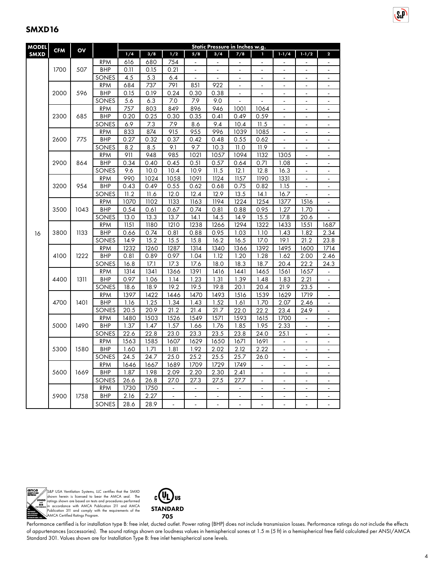| <b>MODEL</b> |            |      |            | Static Pressure in Inches w.g. |                   |                          |                          |                          |                |                              |                |                          |                              |  |
|--------------|------------|------|------------|--------------------------------|-------------------|--------------------------|--------------------------|--------------------------|----------------|------------------------------|----------------|--------------------------|------------------------------|--|
| <b>SMXD</b>  | <b>CFM</b> | OV   |            | 1/4                            | 3/8               | 1/2                      | 5/8                      | 3/4                      | 7/8            | 1                            | $1 - 1/4$      | $1 - 1/2$                | $\overline{\mathbf{c}}$      |  |
|              |            |      | <b>RPM</b> | 616                            | 680               | 754                      | $\overline{a}$           | $\tilde{\phantom{a}}$    | $\overline{a}$ | $\blacksquare$               | $\overline{a}$ | $\blacksquare$           | ÷.                           |  |
|              | 1700       | 507  | <b>BHP</b> | 0.11                           | 0.15              | 0.21                     | L.                       | L.                       | $\mathbb{Z}^2$ | L.                           | $\Delta$       | $\omega$                 | $\blacksquare$               |  |
|              |            |      | SONES      | 4.5                            | $\overline{5.3}$  | 6.4                      | $\overline{a}$           | ÷.                       | $\overline{a}$ | ÷,                           | $\overline{a}$ | $\overline{a}$           | ÷,                           |  |
|              |            |      | <b>RPM</b> | 684                            | 737               | 791                      | 851                      | 922                      |                | $\overline{\phantom{a}}$     | ä,             | ÷,                       |                              |  |
|              | 2000       | 596  | <b>BHP</b> | 0.15                           | 0.19              | 0.24                     | 0.30                     | 0.38                     | $\frac{1}{2}$  | $\overline{a}$               | $\blacksquare$ | $\blacksquare$           | ÷,                           |  |
|              |            |      | SONES      | 5.6                            | 6.3               | 7.0                      | 7.9                      | 9.0                      |                |                              | $\blacksquare$ | $\blacksquare$           | ۰                            |  |
|              |            |      | <b>RPM</b> | 757                            | 803               | 849                      | 896                      | 946                      | 1001           | 1064                         | $\blacksquare$ | $\sim$                   | $\blacksquare$               |  |
|              | 2300       | 685  | <b>BHP</b> | 0.20                           | 0.25              | 0.30                     | 0.35                     | 0.41                     | 0.49           | 0.59                         |                | $\overline{\phantom{a}}$ | $\blacksquare$               |  |
|              |            |      | SONES      | 6.9                            | 7.3               | 7.9                      | 8.6                      | 9.4                      | 10.4           | 11.5                         | L.             | $\overline{a}$           | $\overline{a}$               |  |
|              |            |      | <b>RPM</b> | 833                            | 874               | 915                      | 955                      | 996                      | 1039           | 1085                         | ä,             | $\overline{\phantom{a}}$ | $\blacksquare$               |  |
|              | 2600       | 775  | <b>BHP</b> | 0.27                           | 0.32              | 0.37                     | 0.42                     | 0.48                     | 0.55           | 0.62                         |                |                          |                              |  |
|              |            |      | SONES      | 8.2                            | 8.5               | 9.1                      | 9.7                      | 10.3                     | 11.0           | 11.9                         | L,             | $\blacksquare$           | ÷,                           |  |
|              |            |      | <b>RPM</b> | 911                            | 948               | 985                      | 1021                     | 1057                     | 1094           | 1132                         | 1305           |                          | ٠                            |  |
|              | 2900       | 864  | <b>BHP</b> | 0.34                           | 0.40              | 0.45                     | 0.51                     | 0.57                     | 0.64           | 0.71                         | 1.08           | $\blacksquare$           | $\overline{a}$               |  |
|              |            |      | SONES      | 9.6                            | 10.0              | 10.4                     | 10.9                     | 11.5                     | 12.1           | 12.8                         | 16.3           | $\overline{a}$           | $\blacksquare$               |  |
|              |            |      | <b>RPM</b> | 990                            | 1024              | 1058                     | 1091                     | 1124                     | 1157           | 1190                         | 1331           |                          | ä,                           |  |
|              | 3200       | 954  | <b>BHP</b> | 0.43                           | 0.49              | 0.55                     | 0.62                     | 0.68                     | 0.75           | 0.82                         | 1.15           | $\blacksquare$           | $\frac{1}{2}$                |  |
|              |            |      | SONES      | 11.2                           | 11.6              | 12.0                     | 12.4                     | 12.9                     | 13.5           | 14.1                         | 16.7           |                          |                              |  |
|              | 3500       | 1043 | <b>RPM</b> | 1070                           | 1102              | 1133                     | 1163                     | 1194                     | 1224           | 1254                         | 1377           | 1516                     | $\frac{1}{2}$                |  |
|              |            |      | <b>BHP</b> | 0.54                           | 0.61              | 0.67                     | 0.74                     | 0.81                     | 0.88           | 0.95                         | 1.27           | 1.70                     | ٠                            |  |
|              |            |      | SONES      | 13.0                           | 13.3              | 13.7                     | 14.1                     | 14.5                     | 14.9           | 15.5                         | 17.8           | 20.6                     | ÷.                           |  |
|              |            |      | <b>RPM</b> | 1151                           | 1180              | 1210                     | 1238                     | 1266                     | 1294           | 1322                         | 1433           | 1551                     | 1687                         |  |
| 16           | 3800       | 1133 | <b>BHP</b> | 0.66                           | 0.74              | 0.81                     | 0.88                     | 0.95                     | 1.03           | 1.10                         | 1.43           | 1.82                     | 2.34                         |  |
|              |            |      | SONES      | 14.9                           | 15.2              | $\overline{15.5}$        | 15.8                     | 16.2                     | 16.5           | 17.0                         | 19.1           | 21.2                     | 23.8                         |  |
|              | 4100       |      | <b>RPM</b> | 1232                           | 1260              | 1287                     | 1314                     | 1340                     | 1366           | 1392                         | 1495           | 1600                     | 1714                         |  |
|              |            | 1222 | <b>BHP</b> | 0.81                           | 0.89              | 0.97                     | 1.04                     | 1.12                     | 1.20           | 1.28                         | 1.62           | 2.00                     | 2.46                         |  |
|              |            |      | SONES      | 16.8                           | 17.1              | 17.3                     | 17.6                     | 18.0                     | 18.3           | 18.7                         | 20.4           | 22.2                     | 24.3                         |  |
|              |            |      | <b>RPM</b> | 1314                           | $\overline{1}341$ | 1366                     | 1391                     | 1416                     | 1441           | 1465                         | 1561           | 1657                     |                              |  |
|              | 4400       | 1311 | <b>BHP</b> | 0.97                           | 1.06              | 1.14                     | 1.23                     | 1.31                     | 1.39           | 1.48                         | 1.83           | 2.21                     | ÷,                           |  |
|              |            |      | SONES      | 18.6                           | 18.9              | 19.2                     | 19.5                     | 19.8                     | 20.1           | 20.4                         | 21.9           | 23.5                     |                              |  |
|              |            |      | <b>RPM</b> | 1397                           | 1422              | 1446                     | 1470                     | 1493                     | 1516           | 1539                         | 1629           | 1719                     | ÷.                           |  |
|              | 4700       | 1401 | <b>BHP</b> | 1.16                           | 1.25              | 1.34                     | 1.43                     | 1.52                     | 1.61           | 1.70                         | 2.07           | 2.46                     | $\overline{\phantom{0}}$     |  |
|              |            |      | SONES      | 20.5                           | 20.9              | 21.2                     | 21.4                     | 21.7                     | 22.0           | 22.2                         | 23.4           | 24.9                     | ä,                           |  |
|              |            |      | <b>RPM</b> | 1480                           | 1503              | 1526                     | 1549                     | 1571                     | 1593           | 1615                         | 1700           | $\overline{\phantom{a}}$ | ÷,                           |  |
|              | 5000       | 1490 | <b>BHP</b> | 1.37                           | 1.47              | 1.57                     | 1.66                     | 1.76                     | 1.85           | 1.95                         | 2.33           |                          |                              |  |
|              |            |      | SONES      | 22.6                           | 22.8              | 23.0                     | 23.3                     | 23.5                     | 23.8           | 24.0                         | 25.1           | $\blacksquare$           | $\blacksquare$               |  |
|              |            |      | <b>RPM</b> | 1563                           | 1585              | 1607                     | 1629                     | 1650                     | 1671           | 1691                         |                |                          |                              |  |
|              | 5300       | 1580 | <b>BHP</b> | 1.60                           | 1.71              | 1.81                     | 1.92                     | 2.02                     | 2.12           | 2.22                         | $\blacksquare$ | $\blacksquare$           | ۰                            |  |
|              |            |      | SONES      | 24.5                           | 24.7              | 25.0                     | 25.2                     | 25.5                     | 25.7           | 26.0                         | $\blacksquare$ | $\overline{\phantom{a}}$ | $\blacksquare$               |  |
|              |            |      | <b>RPM</b> | 1646                           | 1667              | 1689                     | 1709                     | 1729                     | 1749           | ÷.                           | $\mathbf{r}$   | $\sim$                   | ä,                           |  |
|              | 5600       | 1669 | <b>BHP</b> | 1.87                           | 1.98              | 2.09                     | 2.20                     | 2.30                     | 2.41           | $\blacksquare$               | $\blacksquare$ | $\overline{\phantom{a}}$ | $\frac{1}{2}$                |  |
|              |            |      | SONES      | 26.6                           | 26.8              | 27.0                     | 27.3                     | 27.5                     | 27.7           | L.                           | $\overline{a}$ | $\overline{a}$           | $\blacksquare$               |  |
|              |            |      | <b>RPM</b> | 1730                           | 1750              | $\blacksquare$           | $\overline{\phantom{a}}$ | $\blacksquare$           | $\blacksquare$ | $\blacksquare$               | $\blacksquare$ | $\blacksquare$           | $\blacksquare$               |  |
|              | 5900       | 1758 | BHP        | 2.16                           | 2.27              | $\overline{\phantom{a}}$ | $\overline{\phantom{a}}$ | $\overline{\phantom{a}}$ | $\blacksquare$ | $\qquad \qquad \blacksquare$ | $\overline{a}$ | $\overline{\phantom{a}}$ | $\qquad \qquad \blacksquare$ |  |
|              |            |      | SONES      | 28.6                           | 28.9              | $\overline{a}$           | ÷.                       | $\overline{a}$           | ÷.             | ÷.                           | $\overline{a}$ | ÷.                       |                              |  |



S&P USA Ventilation Systems, LLC certifies that the SMXD<br>shown herein is licensed to bear the AMCA seal. The<br>ratings shown are based on tests and procedures performed<br>in accordance with AMCA Publication 211 and AMCA<br>Public



Performance certified is for installation type B: free inlet, ducted outlet. Power rating (BHP) does not include transmission losses. Performance ratings do not include the effects of appurtenances (accessories). The sound ratings shown are loudness values in hemispherical sones at 1.5 m (5 ft) in a hemispherical free field calculated per ANSI/AMCA Standard 301. Values shown are for Installation Type B: free inlet hemispherical sone levels.

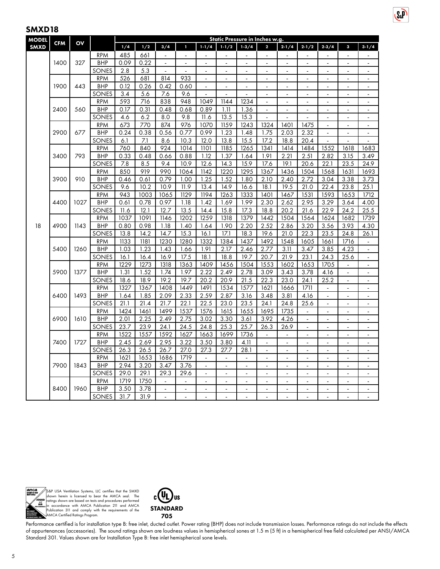| <b>MODEL</b> |            |       |                          |                   |              |                |                      |                |                | Static Pressure in Inches w.g. |                         |                |                          |                   |                |                          |
|--------------|------------|-------|--------------------------|-------------------|--------------|----------------|----------------------|----------------|----------------|--------------------------------|-------------------------|----------------|--------------------------|-------------------|----------------|--------------------------|
| <b>SMXD</b>  | <b>CFM</b> | OV    |                          | 1/4               | 1/2          | 3/4            | 1                    | $1 - 1/4$      | $1 - 1/2$      | 1.3/4                          | $\overline{\mathbf{c}}$ | $2 - 1/4$      | $2 - 1/2$                | $2 - 3/4$         | 3              | $3 - 1/4$                |
|              |            |       | <b>RPM</b>               | 485               | 661          |                |                      |                |                |                                |                         |                |                          |                   |                |                          |
|              | 1400       | 327   | <b>BHP</b>               | 0.09              | 0.22         | L.             | $\ddot{\phantom{a}}$ | ÷,             | ÷,             | $\overline{a}$                 | ÷,                      | ÷,             | ÷,                       | ÷.                | $\overline{a}$ | ä,                       |
|              |            |       | SONES                    | 2.8               | 5.3          | $\sim$         | ÷                    | ä,             | ÷              | $\overline{a}$                 | ÷                       | ÷              | $\blacksquare$           | $\blacksquare$    | $\blacksquare$ | $\blacksquare$           |
|              |            |       | <b>RPM</b>               | 526               | 681          | 814            | 933                  |                | ÷,             |                                |                         |                | L,                       |                   |                | ÷,                       |
|              | 1900       | 443   | <b>BHP</b>               | 0.12              | 0.26         | 0.42           | 0.60                 | ÷,             | ä,             | $\blacksquare$                 | $\blacksquare$          | $\blacksquare$ | $\mathbf{r}$             | $\blacksquare$    | $\blacksquare$ | $\blacksquare$           |
|              |            |       | SONES                    | 3.4               | 5.6          | 7.6            | 9.6                  | $\blacksquare$ | ä,             | $\overline{\phantom{a}}$       | ٠                       | L,             | $\overline{\phantom{a}}$ | L,                | ä,             | $\blacksquare$           |
|              |            |       | <b>RPM</b>               | 593               | 716          | 838            | 948                  | 1049           | 1144           | 1234                           | $\blacksquare$          | ÷,             | $\blacksquare$           | $\overline{a}$    | $\overline{a}$ | ÷,                       |
|              | 2400       | 560   | <b>BHP</b>               | 0.17              | 0.31         | 0.48           | 0.68                 | 0.89           | 1.11           | 1.36                           | $\blacksquare$          | ÷,             | $\blacksquare$           | ٠                 | ä,             | $\blacksquare$           |
| 3400<br>3900 |            |       | SONES                    | 4.6               | 6.2          | 8.0            | 9.8                  | 11.6           | 13.5           | 15.3                           | $\overline{a}$          | ÷,             |                          | L,                | ä,             | $\blacksquare$           |
|              |            |       | <b>RPM</b>               | 673               | 770          | 874            | 976                  | 1070           | 1159           | $\overline{1243}$              | 1324                    | 1401           | 1475                     | $\blacksquare$    | ÷,             | ÷,                       |
|              | 2900       | 677   | <b>BHP</b>               | 0.24              | 0.38         | 0.56           | 0.77                 | 0.99           | 1.23           | 1.48                           | 1.75                    | 2.03           | 2.32                     | $\blacksquare$    | $\blacksquare$ | $\overline{a}$           |
|              |            |       | SONES                    | 6.1               | 7.1          | 8.6            | 10.3                 | 12.0           | 13.8           | 15.5                           | 17.2                    | 18.8           | 20.4                     | $\blacksquare$    | ÷,             | ÷,                       |
|              |            |       | <b>RPM</b>               | 760               | 840          | 924            | 1014                 | 1101           | 1185           | 1265                           | 1341                    | 1414           | 1484                     | 1552              | 1618           | 1683                     |
|              |            | 793   | <b>BHP</b>               | 0.33              | 0.48         | 0.66           | 0.88                 | 1.12           | 1.37           | 1.64                           | 1.91                    | 2.21           | 2.51                     | 2.82              | 3.15           | 3.49                     |
|              |            |       | SONES                    | 7.8               | 8.5          | 9.4            | 10.9                 | 12.6           | 14.3           | 15.9                           | 17.6                    | 19.1           | 20.6                     | $\overline{22.1}$ | 23.5           | 24.9                     |
|              |            | 910   | <b>RPM</b>               | 850               | 919          | 990            | 1064                 | 1142           | 1220           | 1295                           | 1367                    | 1436           | 1504                     | 1568              | 1631           | 1693                     |
|              |            |       | <b>BHP</b>               | 0.46              | 0.61         | 0.79           | 1.00                 | 1.25           | 1.52           | 1.80                           | 2.10                    | 2.40           | 2.72                     | 3.04              | 3.38           | 3.73                     |
|              |            |       | SONES                    | 9.6               | 10.2         | 10.9           | 11.9                 | 13.4           | 14.9           | 16.6                           | 18.1                    | 19.5           | 21.0                     | 22.4              | 23.8           | 25.1                     |
|              |            |       | <b>RPM</b>               | 943               | 1003         | 1065           | 1129                 | 1194           | 1263           | 1333                           | 1401                    | 1467           | 1531                     | 1593              | 1653           | 1712                     |
| 18           | 4400       | 1027  | <b>BHP</b>               | 0.61              | 0.78<br>12.1 | 0.97<br>12.7   | 1.18<br>13.5         | 1.42           | 1.69<br>15.8   | 1.99                           | 2.30                    | 2.62<br>20.2   | 2.95<br>21.6             | 3.29<br>22.9      | 3.64<br>24.2   | 4.00<br>25.5             |
|              |            |       | SONES                    | 11.6<br>1037      | 1091         | 1146           | 1202                 | 14.4<br>1259   | 1318           | 17.3<br>1379                   | 18.8<br>1442            | 1504           | 1564                     | 1624              |                | 1739                     |
|              | 4900       | 1143  | <b>RPM</b><br><b>BHP</b> | 0.80              | 0.98         | 1.18           | 1.40                 | 1.64           | 1.90           | 2.20                           | 2.52                    | 2.86           | 3.20                     | 3.56              | 1682<br>3.93   | 4.30                     |
|              |            |       | SONES                    | $13.\overline{8}$ | 14.2         | 14.7           | 15.3                 | 16.1           | 17.1           | 18.3                           | 19.6                    | 21.0           | 22.3                     | 23.5              | 24.8           | 26.1                     |
|              | 5400       |       | <b>RPM</b>               | 1133              | 1181         | 1230           | 1280                 | 1332           | 1384           | $143\overline{7}$              | 1492                    | 1548           | 1605                     | 1661              | 1716           | ÷,                       |
|              |            | 1260  | <b>BHP</b>               | 1.03              | 1.23         | 1.43           | 1.66                 | 1.91           | 2.17           | 2.46                           | 2.77                    | 3.11           | 3.47                     | 3.85              | 4.23           | ä,                       |
|              |            |       | SONES                    | 16.1              | 16.4         | 16.9           | 17.5                 | 18.1           | 18.8           | 19.7                           | 20.7                    | 21.9           | 23.1                     | 24.3              | 25.6           | $\blacksquare$           |
|              |            |       | <b>RPM</b>               | 1229              | 1273         | 1318           | 1363                 | 1409           | 1456           | 1504                           | 1553                    | 1602           | 1653                     | 1705              | ٠              | $\overline{\phantom{a}}$ |
|              | 5900       | 1377  | <b>BHP</b>               | 1.31              | 1.52         | 1.74           | 1.97                 | 2.22           | 2.49           | 2.78                           | 3.09                    | 3.43           | 3.78                     | 4.16              | $\blacksquare$ | $\blacksquare$           |
|              |            |       | SONES                    | 18.6              | 18.9         | 19.2           | 19.7                 | 20.2           | 20.9           | 21.5                           | 22.3                    | 23.0           | 24.1                     | 25.2              | $\blacksquare$ | ÷,                       |
|              |            |       | <b>RPM</b>               | 1327              | 1367         | 1408           | 1449                 | 1491           | 1534           | 1577                           | 1621                    | 1666           | 1711                     |                   | ÷              | $\blacksquare$           |
|              | 6400       | 1493  | <b>BHP</b>               | 1.64              | 1.85         | 2.09           | 2.33                 | 2.59           | 2.87           | 3.16                           | 3.48                    | 3.81           | 4.16                     | $\overline{a}$    | ÷,             | $\blacksquare$           |
|              |            |       | SONES                    | 21.1              | 21.4         | 21.7           | 22.1                 | 22.5           | 23.0           | 23.5                           | 24.1                    | 24.8           | 25.6                     | $\overline{a}$    | ÷              | ÷,                       |
|              |            |       | <b>RPM</b>               | 1424              | 1461         | 1499           | 1537                 | 1576           | 1615           | 1655                           | 1695                    | 1735           | $\Box$                   | $\blacksquare$    | $\frac{1}{2}$  | $\blacksquare$           |
|              | 6900       | 1610  | <b>BHP</b>               | 2.01              | 2.25         | 2.49           | 2.75                 | 3.02           | 3.30           | 3.61                           | 3.92                    | 4.26           | $\blacksquare$           | ÷,                | ÷,             |                          |
|              |            |       | SONES                    | 23.7              | 23.9         | 24.1           | 24.5                 | 24.8           | 25.3           | 25.7                           | 26.3                    | 26.9           | ÷,                       | $\overline{a}$    | $\overline{a}$ | ÷,                       |
|              |            |       | <b>RPM</b>               | 1522              | 1557         | 1592           | 1627                 | 1663           | 1699           | 1736                           |                         | ÷,             | $\blacksquare$           |                   | ÷              | $\blacksquare$           |
|              | 7400       | 1727  | <b>BHP</b>               | 2.45              | 2.69         | 2.95           | 3.22                 | 3.50           | 3.80           | 4.11                           |                         | $\overline{a}$ |                          |                   |                | $\blacksquare$           |
|              |            |       | SONES                    | 26.3              | 26.5         | 26.7           | 27.0                 | 27.3           | 27.7           | 28.1                           | $\blacksquare$          | $\overline{a}$ | $\blacksquare$           | $\blacksquare$    | $\blacksquare$ | $\blacksquare$           |
|              |            |       | <b>RPM</b>               | 1621              | 1653         | 1686           | 1719                 | $\overline{a}$ | $\overline{a}$ | $\overline{\phantom{a}}$       | ÷                       | $\overline{a}$ | $\overline{a}$           | ٠                 | L,             | $\blacksquare$           |
|              | 7900       | 1843  | <b>BHP</b>               | 2.94              | 3.20         | 3.47           | 3.76                 | L.             | $\blacksquare$ | L.                             | $\overline{a}$          | $\blacksquare$ | $\blacksquare$           | $\overline{a}$    | $\blacksquare$ | $\blacksquare$           |
|              |            |       | SONES                    | 29.0              | 29.1         | 29.3           | 29.6                 | $\blacksquare$ | ä,             | $\overline{\phantom{a}}$       | ٠                       | ÷.             | $\blacksquare$           | $\blacksquare$    | L,             | $\blacksquare$           |
|              |            |       | <b>RPM</b>               | 1719              | 1750         |                |                      | $\overline{a}$ | $\blacksquare$ | $\overline{a}$                 | $\overline{a}$          | ÷.             | $\overline{a}$           | L.                | ÷,             | $\overline{a}$           |
|              | 8400       | 1960  | <b>BHP</b>               | 3.50              | 3.78         | $\blacksquare$ | $\blacksquare$       | $\blacksquare$ | $\blacksquare$ | ÷,                             | ä,                      | $\overline{a}$ | $\blacksquare$           | ÷,                | ÷,             | $\blacksquare$           |
|              |            | SONES | 31.7                     | 31.9              |              |                | $\blacksquare$       |                |                |                                |                         |                |                          |                   |                |                          |

 $S<sub>x</sub>P$ 



S&P USA Ventilation Systems, LLC certifies that the SMXD<br>shown herein is licensed to bear the AMCA seal. The<br>ratings shown are based on tests and procedures performed<br>in accordance with AMCA Publication 211 and AMCA<br>Public



Performance certified is for installation type B: free inlet, ducted outlet. Power rating (BHP) does not include transmission losses. Performance ratings do not include the effects of appurtenances (accessories). The sound ratings shown are loudness values in hemispherical sones at 1.5 m (5 ft) in a hemispherical free field calculated per ANSI/AMCA Standard 301. Values shown are for Installation Type B: free inlet hemispherical sone levels.

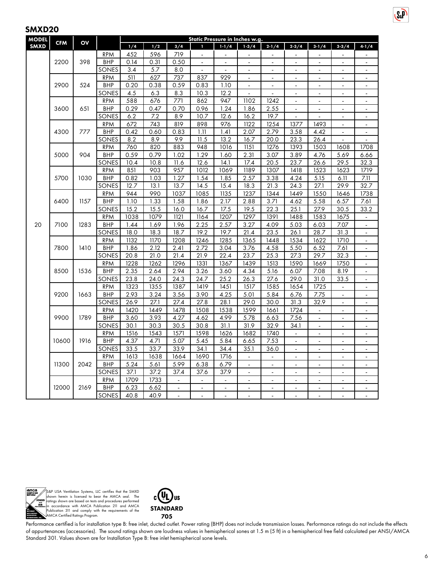| <b>MODEL</b> |            | OV           |            | Static Pressure in Inches w.g. |      |                          |                |                          |                   |                          |                          |                |                              |                          |  |
|--------------|------------|--------------|------------|--------------------------------|------|--------------------------|----------------|--------------------------|-------------------|--------------------------|--------------------------|----------------|------------------------------|--------------------------|--|
| <b>SMXD</b>  | <b>CFM</b> |              |            | 1/4                            | 1/2  | 3/4                      | T              | $1 - 1/4$                | $1-3/4$           | $2 - 1/4$                | $2 - 3/4$                | $3 - 1/4$      | $3 - 3/4$                    | 4.1/4                    |  |
|              |            |              | <b>RPM</b> | 452                            | 596  | 719                      | $\overline{a}$ |                          |                   |                          |                          |                |                              |                          |  |
|              | 2200       | 398          | <b>BHP</b> | 0.14                           | 0.31 | 0.50                     | $\blacksquare$ | $\overline{\phantom{a}}$ | $\blacksquare$    | $\blacksquare$           | $\blacksquare$           | $\blacksquare$ | $\blacksquare$               | $\blacksquare$           |  |
|              |            |              | SONES      | 3.4                            | 5.7  | 8.0                      | $\blacksquare$ | $\blacksquare$           | $\blacksquare$    | $\overline{\phantom{a}}$ | $\overline{\phantom{a}}$ | $\blacksquare$ | ä,                           | $\overline{\phantom{0}}$ |  |
|              |            |              | <b>RPM</b> | 511                            | 627  | 737                      | 837            | 929                      | $\overline{a}$    | $\ddot{\phantom{a}}$     | $\ddot{\phantom{a}}$     | ÷,             | $\overline{a}$               | ä,                       |  |
|              | 2900       | 524          | <b>BHP</b> | 0.20                           | 0.38 | 0.59                     | 0.83           | 1.10                     | $\blacksquare$    | $\blacksquare$           | $\blacksquare$           | $\blacksquare$ | $\blacksquare$               | $\blacksquare$           |  |
|              |            |              | SONES      | 4.5                            | 6.3  | 8.3                      | 10.3           | 12.2                     |                   |                          | $\ddot{\phantom{a}}$     |                | $\overline{a}$               | ÷.                       |  |
|              |            |              | <b>RPM</b> | 588                            | 676  | 771                      | 862            | 947                      | 1102              | 1242                     | $\blacksquare$           | $\blacksquare$ | $\blacksquare$               | $\blacksquare$           |  |
|              | 3600       | 651          | <b>BHP</b> | 0.29                           | 0.47 | 0.70                     | 0.96           | 1.24                     | 1.86              | 2.55                     | $\blacksquare$           | $\blacksquare$ | $\blacksquare$               | $\blacksquare$           |  |
|              |            |              | SONES      | 6.2                            | 7.2  | 8.9                      | 10.7           | 12.6                     | 16.2              | 19.7                     | L.                       | $\overline{a}$ | $\blacksquare$               | $\blacksquare$           |  |
|              |            |              | <b>RPM</b> | 672                            | 743  | 819                      | 898            | 976                      | 1122              | 1254                     | 1377                     | 1493           | $\overline{a}$               | ÷,                       |  |
|              | 4300       | 777          | <b>BHP</b> | 0.42                           | 0.60 | 0.83                     | 1.11           | 1.41                     | 2.07              | 2.79                     | 3.58                     | 4.42           | $\overline{a}$               | $\blacksquare$           |  |
|              |            |              | SONES      | 8.2                            | 8.9  | 9.9                      | 11.5           | 13.2                     | 16.7              | 20.0                     | 23.3                     | 26.4           | $\overline{a}$               |                          |  |
|              |            |              | <b>RPM</b> | 760                            | 820  | 883                      | 948            | 1016                     | 1151              | 1276                     | 1393                     | 1503           | 1608                         | 1708                     |  |
|              | 5000       | 904          | <b>BHP</b> | 0.59                           | 0.79 | 1.02                     | 1.29           | 1.60                     | 2.31              | 3.07                     | 3.89                     | 4.76           | 5.69                         | 6.66                     |  |
|              |            |              | SONES      | 10.4                           | 10.8 | 11.6                     | 12.6           | 14.1                     | 17.4              | 20.5                     | 23.7                     | 26.6           | 29.5                         | 32.3                     |  |
|              |            |              | <b>RPM</b> | 851                            | 903  | 957                      | 1012           | 1069                     | 1189              | 1307                     | 1418                     | 1523           | 1623                         | 1719                     |  |
|              | 5700       | 1030         | <b>BHP</b> | 0.82                           | 1.03 | 1.27                     | 1.54           | 1.85                     | 2.57              | 3.38                     | 4.24                     | 5.15           | 6.11                         | 7.11                     |  |
|              |            |              | SONES      | 12.7                           | 13.1 | 13.7                     | 14.5           | 15.4                     | 18.3              | 21.3                     | 24.3                     | 27.1           | 29.9                         | 32.7                     |  |
|              |            | 6400<br>1157 | <b>RPM</b> | 944                            | 990  | 1037                     | 1085           | 1135                     | 1237              | 1344                     | 1449                     | 1550           | 1646                         | 1738                     |  |
|              |            |              | <b>BHP</b> | 1.10                           | 1.33 | 1.58                     | 1.86           | 2.17                     | 2.88              | 3.71                     | 4.62                     | 5.58           | 6.57                         | 7.61                     |  |
|              |            |              | SONES      | 15.2                           | 15.5 | 16.0                     | 16.7           | 17.5                     | 19.5              | 22.3                     | 25.1                     | 27.9           | 30.5                         | 33.2                     |  |
|              |            |              | <b>RPM</b> | 1038                           | 1079 | 1121                     | 1164           | 1207                     | 1297              | 1391                     | 1488                     | 1583           | 1675                         | $\blacksquare$           |  |
| 20           | 7100       | 1283         | <b>BHP</b> | 1.44                           | 1.69 | 1.96                     | 2.25           | 2.57                     | 3.27              | 4.09                     | 5.03                     | 6.03           | 7.07                         |                          |  |
|              |            |              | SONES      | 18.0                           | 18.3 | 18.7                     | 19.2           | 19.7                     | $\overline{2}1.4$ | 23.5                     | 26.1                     | 28.7           | 31.3                         | $\blacksquare$           |  |
|              |            | <b>RPM</b>   | 1132       | 1170                           | 1208 | 1246                     | 1285           | 1365                     | 1448              | 1534                     | 1622                     | 1710           | $\mathbf{r}$                 |                          |  |
|              |            | 7800<br>1410 | <b>BHP</b> | 1.86                           | 2.12 | 2.41                     | 2.72           | 3.04                     | 3.76              | 4.58                     | 5.50                     | 6.52           | 7.61                         | $\mathbf{r}$             |  |
|              |            |              | SONES      | 20.8                           | 21.0 | 21.4                     | 21.9           | 22.4                     | 23.7              | 25.3                     | 27.3                     | 29.7           | 32.3                         | $\overline{\phantom{a}}$ |  |
|              |            |              | <b>RPM</b> | 1228                           | 1262 | 1296                     | 1331           | 1367                     | 1439              | 1513                     | 1590                     | 1669           | 1750                         |                          |  |
|              | 8500       | 1536         | <b>BHP</b> | 2.35                           | 2.64 | 2.94                     | 3.26           | 3.60                     | 4.34              | 5.16                     | 6.07                     | 7.08           | 8.19                         | $\blacksquare$           |  |
|              |            |              | SONES      | 23.8                           | 24.0 | 24.3                     | 24.7           | 25.2                     | 26.3              | 27.6                     | 29.0                     | 31.0           | 33.5                         | $\mathbf{r}$             |  |
|              |            |              | <b>RPM</b> | 1323                           | 1355 | 1387                     | 1419           | 1451                     | 1517              | 1585                     | 1654                     | 1725           | $\overline{a}$               | $\blacksquare$           |  |
|              | 9200       | 1663         | <b>BHP</b> | 2.93                           | 3.24 | 3.56                     | 3.90           | 4.25                     | 5.01              | 5.84                     | 6.76                     | 7.75           | $\qquad \qquad \blacksquare$ | $\blacksquare$           |  |
|              |            |              | SONES      | 26.9                           | 27.1 | 27.4                     | 27.8           | 28.1                     | 29.0              | 30.0                     | 31.3                     | 32.9           | $\overline{a}$               | ÷,                       |  |
|              |            |              | <b>RPM</b> | 1420                           | 1449 | 1478                     | 1508           | 1538                     | 1599              | 1661                     | 1724                     | $\blacksquare$ | $\blacksquare$               | $\blacksquare$           |  |
|              | 9900       | 1789         | <b>BHP</b> | 3.60                           | 3.93 | 4.27                     | 4.62           | 4.99                     | 5.78              | 6.63                     | 7.56                     | $\overline{a}$ | ÷,                           | ÷,                       |  |
|              |            |              | SONES      | 30.1                           | 30.3 | 30.5                     | 30.8           | 31.1                     | 31.9              | 32.9                     | 34.1                     | ÷,             | $\overline{a}$               | ä,                       |  |
|              |            |              | <b>RPM</b> | 1516                           | 1543 | 1571                     | 1598           | 1626                     | 1682              | 1740                     | $\Box$                   | $\blacksquare$ | ÷,                           | ÷,                       |  |
|              | 10600      | 1916         | <b>BHP</b> | 4.37                           | 4.71 | 5.07                     | 5.45           | 5.84                     | 6.65              | 7.53                     | $\ddot{\phantom{a}}$     |                | $\overline{a}$               | ä,                       |  |
|              |            |              | SONES      | 33.5                           | 33.7 | 33.9                     | 34.1           | 34.4                     | 35.1              | 36.0                     | $\blacksquare$           | $\blacksquare$ | $\blacksquare$               | $\blacksquare$           |  |
|              |            |              | <b>RPM</b> | 1613                           | 1638 | 1664                     | 1690           | 1716                     | $\blacksquare$    | $\blacksquare$           | $\overline{a}$           | ä,             | ÷,                           | ÷,                       |  |
|              | 11300      | 2042         | <b>BHP</b> | 5.24                           | 5.61 | 5.99                     | 6.38           | 6.79                     | $\mathbf{r}$      | $\mathbf{r}$             | L.                       | ä,             | $\overline{a}$               | $\Box$                   |  |
|              |            |              | SONES      | 37.1                           | 37.2 | 37.4                     | 37.6           | 37.9                     | $\mathbf{r}$      | $\blacksquare$           | $\mathbf{r}$             | $\blacksquare$ | ä,                           | ÷.                       |  |
|              |            |              | <b>RPM</b> | 1709                           | 1733 |                          |                |                          |                   |                          |                          |                |                              |                          |  |
|              | 12000      | 2169         | <b>BHP</b> | 6.23                           | 6.62 | $\overline{\phantom{a}}$ | $\blacksquare$ | $\blacksquare$           | $\blacksquare$    | $\blacksquare$           | $\blacksquare$           | $\frac{1}{2}$  | $\blacksquare$               | $\blacksquare$           |  |
|              |            |              | SONES      | 40.8                           | 40.9 |                          |                |                          | $\overline{a}$    | ÷,                       | ä,                       | ä,             |                              | ÷,                       |  |



S&P USA Ventilation Systems, LLC certifies that the SMXD<br>shown herein is licensed to bear the AMCA seal. The<br>ratings shown are based on tests and procedures performed<br>in accordance with AMCA Publication 211 and AMCA<br>Public



Performance certified is for installation type B: free inlet, ducted outlet. Power rating (BHP) does not include transmission losses. Performance ratings do not include the effects of appurtenances (accessories). The sound ratings shown are loudness values in hemispherical sones at 1.5 m (5 ft) in a hemispherical free field calculated per ANSI/AMCA Standard 301. Values shown are for Installation Type B: free inlet hemispherical sone levels.

**S**<sub>R</sub>P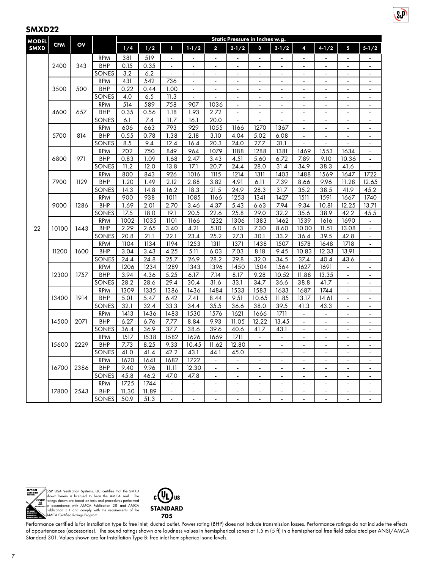| <b>MODEL</b> |            | OV   |                          | Static Pressure in Inches w.g. |              |                |                |                         |                |                |                |                           |                |                          |                          |  |  |
|--------------|------------|------|--------------------------|--------------------------------|--------------|----------------|----------------|-------------------------|----------------|----------------|----------------|---------------------------|----------------|--------------------------|--------------------------|--|--|
| <b>SMXD</b>  | <b>CFM</b> |      |                          | 1/4                            | 1/2          | T              | $1 - 1/2$      | $\overline{\mathbf{c}}$ | $2 - 1/2$      | 3              | $3 - 1/2$      | 4                         | $4 - 1/2$      | 5                        | $5 - 1/2$                |  |  |
|              |            |      | RPM                      | 381                            | 519          | $\Box$         | ä,             | $\overline{a}$          | $\mathbf{r}$   | $\mathbf{r}$   | $\overline{a}$ | $\blacksquare$            | $\mathbf{r}$   |                          |                          |  |  |
|              | 2400       | 343  | <b>BHP</b>               | 0.15                           | 0.35         |                |                |                         |                |                |                |                           |                |                          |                          |  |  |
|              |            |      | SONES                    | 3.2                            | 6.2          | $\blacksquare$ | $\blacksquare$ | $\blacksquare$          | $\blacksquare$ | $\blacksquare$ | $\blacksquare$ | $\blacksquare$            | $\blacksquare$ | $\blacksquare$           | $\blacksquare$           |  |  |
|              |            |      | <b>RPM</b>               | 431                            | 542          | 736            | $\blacksquare$ |                         | $\blacksquare$ | ä,             | ÷,             | ÷,                        | ä,             | L,                       | $\blacksquare$           |  |  |
|              | 3500       | 500  | <b>BHP</b>               | 0.22                           | 0.44         | 1.00           | $\mathbf{r}$   | L.                      | $\mathbf{L}$   | $\blacksquare$ | L.             | $\Box$                    | $\blacksquare$ | $\overline{a}$           | ÷.                       |  |  |
|              |            |      | SONES                    | 4.0                            | 6.5          | 11.3           | $\overline{a}$ |                         | $\blacksquare$ | $\sim$         | ٠              | $\blacksquare$            | $\blacksquare$ | ٠                        | $\sim$                   |  |  |
|              |            |      | <b>RPM</b>               | 514                            | 589          | 758            | 907            | 1036                    | ä,             |                |                | ÷,                        |                |                          | $\Box$                   |  |  |
|              | 4600       | 657  | <b>BHP</b>               | 0.35                           | 0.56         | 1.18           | 1.93           | 2.72                    | $\blacksquare$ | $\blacksquare$ | ٠              | $\blacksquare$            | $\blacksquare$ | $\blacksquare$           | $\blacksquare$           |  |  |
|              |            |      | SONES                    | 6.1                            | 7.4          | 11.7           | 16.1           | 20.0                    |                |                |                | ÷                         | ٠              |                          | $\blacksquare$           |  |  |
|              |            |      | <b>RPM</b>               | 606                            | 663          | 793            | 929            | 1055                    | 1166           | 1270           | 1367           | $\Box$                    | $\mathbf{r}$   | $\blacksquare$           | $\omega$                 |  |  |
|              | 5700       | 814  | <b>BHP</b>               | 0.55                           | 0.78         | 1.38           | 2.18           | 3.10                    | 4.04           | 5.02           | 6.08           | $\tilde{\phantom{a}}$     | $\overline{a}$ | ÷,                       | $\overline{\phantom{a}}$ |  |  |
|              |            |      | SONES                    | 8.5                            | 9.4          | 12.4           | 16.4           | 20.3                    | 24.0           | 27.7           | 31.1           | ÷,                        |                |                          | $\blacksquare$           |  |  |
|              |            |      | <b>RPM</b>               | 702                            | 750          | 849            | 964            | 1079                    | 1188           | 1288           | 1381           | 1469                      | 1553           | 1634                     | $\blacksquare$           |  |  |
|              | 6800       | 971  | <b>BHP</b>               | 0.83                           | 1.09         | 1.68           | 2.47           | 3.43                    | 4.51           | 5.60           | 6.72           | 7.89                      | 9.10           | 10.36                    | $\blacksquare$           |  |  |
|              |            |      | SONES                    | 11.2                           | 12.0         | 13.8           | 17.1           | 20.7                    | 24.4           | 28.0           | 31.4           | 34.9                      | 38.3           | 41.6                     | ä,                       |  |  |
|              | 7900       | 1129 | <b>RPM</b>               | 800                            | 843          | 926            | 1016           | 1115                    | 1214           | 1311           | 1403           | 1488                      | 1569           | 1647                     | 1722                     |  |  |
|              |            |      | BHP                      | 1.20                           | 1.49         | 2.12           | 2.88           | 3.82                    | 4.91           | 6.11           | 7.39           | 8.66                      | 9.96           | 11.28                    | 12.65                    |  |  |
|              |            |      | SONES                    | 14.3                           | 14.8         | 16.2           | 18.3           | 21.5                    | 24.9           | 28.3           | 31.7           | 35.2                      | 38.5           | 41.9                     | 45.2                     |  |  |
|              |            |      | <b>RPM</b>               | 900                            | 938          | 1011           | 1085           | 1166                    | 1253           | 1341           | 1427           | 1511                      | 1591           | 1667                     | 1740                     |  |  |
|              | 9000       | 1286 | <b>BHP</b>               | 1.69                           | 2.01         | 2.70           | 3.46           | 4.37                    | 5.43           | 6.63           | 7.94           | 9.34                      | 10.81          | 12.25                    | 13.71                    |  |  |
|              |            |      | SONES                    | 17.5                           | 18.0<br>1035 | 19.1<br>1101   | 20.5           | 22.6                    | 25.8           | 29.0           | 32.2           | 35.6                      | 38.9           | 42.2                     | 45.5                     |  |  |
|              | 10100      | 1443 | <b>RPM</b><br><b>BHP</b> | 1002                           |              |                | 1166           | 1232                    | 1306           | 1383           | 1462           | 1539                      | 1616           | 1690                     | $\blacksquare$           |  |  |
| 22           |            |      | SONES                    | 2.29<br>20.8                   | 2.65<br>21.1 | 3.40<br>22.1   | 4.21<br>23.4   | 5.10<br>25.2            | 6.13<br>27.3   | 7.30<br>30.1   | 8.60<br>33.2   | 10.00<br>36.4             | 11.51<br>39.5  | 13.08<br>42.8            | $\blacksquare$<br>L.     |  |  |
|              |            |      | <b>RPM</b>               | 1104                           | 1134         | 1194           | 1253           | 1311                    | 1371           | 1438           | 1507           | 1578                      | 1648           | 1718                     | $\blacksquare$           |  |  |
|              | 11200      | 1600 | <b>BHP</b>               | 3.04                           | 3.43         | 4.25           | 5.11           | 6.03                    | 7.03           | 8.18           | 9.45           | 10.83                     | 12.33          | 13.91                    | $\overline{\phantom{a}}$ |  |  |
|              |            |      | SONES                    | 24.4                           | 24.8         | 25.7           | 26.9           | 28.2                    | 29.8           | 32.0           | 34.5           | 37.4                      | 40.4           | 43.6                     | $\blacksquare$           |  |  |
|              |            |      | <b>RPM</b>               | 1206                           | 1234         | 1289           | 1343           | 1396                    | 1450           | 1504           | 1564           | 1627                      | 1691           | $\overline{\phantom{a}}$ | $\overline{\phantom{a}}$ |  |  |
|              | 12300      | 1757 | <b>BHP</b>               | 3.94                           | 4.36         | 5.25           | 6.17           | 7.14                    | 8.17           | 9.28           | 10.52          | 11.88                     | 13.35          | $\overline{a}$           | $\blacksquare$           |  |  |
|              |            |      | SONES                    | 28.2                           | 28.6         | 29.4           | 30.4           | 31.6                    | 33.1           | 34.7           | 36.6           | 38.8                      | 41.7           | $\overline{a}$           | $\blacksquare$           |  |  |
|              |            |      | <b>RPM</b>               | 1309                           | 1335         | 1386           | 1436           | 1484                    | 1533           | 1583           | 1633           | 1687                      | 1744           | $\overline{a}$           | $\Box$                   |  |  |
|              | 13400      | 1914 | <b>BHP</b>               | 5.01                           | 5.47         | 6.42           | 7.41           | 8.44                    | 9.51           | 10.65          | 11.85          | 13.17                     | 14.61          | $\blacksquare$           | $\blacksquare$           |  |  |
|              |            |      | SONES                    | 32.1                           | 32.4         | 33.3           | 34.4           | 35.5                    | 36.6           | 38.0           | 39.5           | 41.3                      | 43.3           |                          | $\overline{a}$           |  |  |
|              |            |      | <b>RPM</b>               | 1413                           | 1436         | 1483           | 1530           | 1576                    | 1621           | 1666           | 1711           | $\mathbb{Z}^{\mathbb{Z}}$ | $\mathbf{r}$   | ä,                       | $\Box$                   |  |  |
|              | 14500      | 2071 | <b>BHP</b>               | 6.27                           | 6.76         | 7.77           | 8.84           | 9.93                    | 11.05          | 12.22          | 13.45          | $\blacksquare$            | $\blacksquare$ | ٠                        | $\mathbf{r}$             |  |  |
|              |            |      | SONES                    | 36.4                           | 36.9         | 37.7           | 38.6           | 39.6                    | 40.6           | 41.7           | 43.1           | $\blacksquare$            |                |                          | $\overline{\phantom{a}}$ |  |  |
|              |            |      | <b>RPM</b>               | 1517                           | 1538         | 1582           | 1626           | 1669                    | 1711           | $\omega$       | $\blacksquare$ | $\blacksquare$            | $\blacksquare$ | ÷,                       | ä,                       |  |  |
|              | 15600      | 2229 | <b>BHP</b>               | 7.73                           | 8.25         | 9.33           | 10.45          | 11.62                   | 12.80          | $\sim$         |                | ÷                         |                |                          | $\blacksquare$           |  |  |
|              |            |      | SONES                    | 41.0                           | 41.4         | 42.2           | 43.1           | 44.1                    | 45.0           | $\blacksquare$ | ÷,             | $\blacksquare$            | $\mathbf{r}$   | ÷,                       | $\blacksquare$           |  |  |
|              |            |      | <b>RPM</b>               | 1620                           | 1641         | 1682           | 1722           | ÷,                      | ÷,             | $\sim$         | $\overline{a}$ | L.                        | $\blacksquare$ | $\overline{a}$           | ä,                       |  |  |
|              | 16700      | 2386 | <b>BHP</b>               | 9.40                           | 9.96         | 11.11          | 12.30          |                         | $\blacksquare$ | $\blacksquare$ |                | $\blacksquare$            | ä,             |                          | $\blacksquare$           |  |  |
|              |            |      | SONES                    | 45.8                           | 46.2         | 47.0           | 47.8           | $\blacksquare$          | $\blacksquare$ | $\blacksquare$ | $\overline{a}$ | $\blacksquare$            | $\blacksquare$ | ÷,                       | $\blacksquare$           |  |  |
|              |            |      | RPM                      | 1725                           | 1744         | $\blacksquare$ |                |                         |                |                |                |                           |                |                          |                          |  |  |
|              | 17800      | 2543 | <b>BHP</b>               | 11.30                          | 11.89        | $\omega$       | $\blacksquare$ | $\blacksquare$          | $\blacksquare$ | $\sim$         | $\blacksquare$ | $\blacksquare$            | $\sim$         | ä,                       | $\blacksquare$           |  |  |
|              |            |      | SONES                    | 50.9                           | 51.3         |                |                |                         |                |                |                |                           |                |                          |                          |  |  |

 $S_{\alpha}P$ 



S&P USA Ventilation Systems, LLC certifies that the SMXD<br>shown herein is licensed to bear the AMCA seal. The<br>ratings shown are based on tests and procedures performed<br>in accordance with AMCA Publication 211 and AMCA<br>Public



Performance certified is for installation type B: free inlet, ducted outlet. Power rating (BHP) does not include transmission losses. Performance ratings do not include the effects of appurtenances (accessories). The sound ratings shown are loudness values in hemispherical sones at 1.5 m (5 ft) in a hemispherical free field calculated per ANSI/AMCA Standard 301. Values shown are for Installation Type B: free inlet hemispherical sone levels.

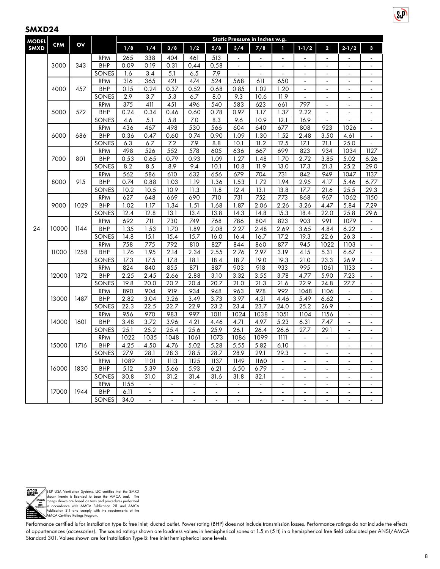| <b>MODEL</b> | <b>CFM</b> | OV   |                          | Static Pressure in Inches w.g. |                |                |                |                |                |                             |                          |                          |                         |                |                          |  |  |
|--------------|------------|------|--------------------------|--------------------------------|----------------|----------------|----------------|----------------|----------------|-----------------------------|--------------------------|--------------------------|-------------------------|----------------|--------------------------|--|--|
| <b>SMXD</b>  |            |      |                          | 1/8                            | 1/4            | 3/8            | 1/2            | 5/8            | 3/4            | 7/8                         | 1                        | $1 - 1/2$                | $\overline{\mathbf{c}}$ | $2 - 1/2$      | 3                        |  |  |
|              |            |      | <b>RPM</b>               | 265                            | 338            | 404            | 461            | 513            | $\overline{a}$ | $\overline{a}$              | $\overline{a}$           |                          |                         |                |                          |  |  |
|              | 3000       | 343  | <b>BHP</b>               | 0.09                           | 0.19           | 0.31           | 0.44           | 0.58           | $\overline{a}$ |                             |                          |                          |                         |                | $\blacksquare$           |  |  |
|              |            |      | SONES                    | 1.6                            | 3.4            | 5.1            | 6.5            | 7.9            | $\blacksquare$ | $\blacksquare$              | $\blacksquare$           | $\blacksquare$           | $\blacksquare$          | $\blacksquare$ | $\blacksquare$           |  |  |
|              |            |      | <b>RPM</b>               | 316                            | 365            | 421            | 474            | 524            | 568            | 611                         | 650                      | $\ddot{\phantom{1}}$     |                         |                | $\blacksquare$           |  |  |
|              | 4000       | 457  | <b>BHP</b>               | 0.15                           | 0.24           | 0.37           | 0.52           | 0.68           | 0.85           | 1.02                        | 1.20                     | $\blacksquare$           | $\blacksquare$          | $\blacksquare$ | $\blacksquare$           |  |  |
|              |            |      | SONES                    | 2.9                            | 3.7            | 5.3            | 6.7            | 8.0            | 9.3            | 10.6                        | 11.9                     | $\overline{a}$           | $\overline{a}$          | $\overline{a}$ | $\overline{a}$           |  |  |
|              |            |      | <b>RPM</b>               | 375                            | 411            | 451            | 496            | 540            | 583            | 623                         | 661                      | 797                      | $\overline{a}$          |                | $\blacksquare$           |  |  |
|              | 5000       | 572  | <b>BHP</b>               | 0.24                           | 0.34           | 0.46           | 0.60           | 0.78           | 0.97           | 1.17                        | 1.37                     | 2.22                     | $\overline{a}$          |                | $\blacksquare$           |  |  |
|              |            |      | SONES                    | 4.6                            | 5.1            | 5.8            | 7.0            | 8.3            | 9.6            | 10.9                        | 12.1                     | 16.9                     |                         |                |                          |  |  |
|              |            |      | <b>RPM</b>               | 436                            | 467            | 498            | 530            | 566            | 604            | 640                         | 677                      | 808                      | 923                     | 1026           | $\Box$                   |  |  |
|              | 6000       | 686  | <b>BHP</b>               | 0.36                           | 0.47           | 0.60           | 0.74           | 0.90           | 1.09           | $\overline{1.30}$           | 1.52                     | 2.48                     | 3.50                    | 4.61           | $\overline{a}$           |  |  |
|              |            |      | SONES                    | 6.3                            | 6.7            | 7.2            | 7.9            | 8.8            | 10.1           | 11.2                        | 12.5                     | 17.1                     | 21.1                    | 25.0           | $\overline{a}$           |  |  |
|              |            |      | <b>RPM</b>               | 498                            | 526            | 552            | 578            | 605            | 636            | 667                         | 699                      | 823                      | 934                     | 1034           | 1127                     |  |  |
|              | 7000       | 801  | <b>BHP</b>               | 0.53                           | 0.65           | 0.79           | 0.93           | 1.09           | 1.27           | 1.48                        | 1.70                     | 2.72                     | 3.85                    | 5.02           | 6.26                     |  |  |
|              |            |      | SONES                    | 8.2                            | 8.5            | 8.9            | 9.4            | 10.1           | 10.8           | 11.9                        | 13.0                     | 17.3                     | 21.3                    | 25.2           | 29.0                     |  |  |
|              |            | 915  | <b>RPM</b>               | 562<br>0.74                    | 586            | 610            | 632            | 656            | 679            | 704                         | 731                      | 842                      | 949                     | 1047           | 1137                     |  |  |
|              | 8000       |      | <b>BHP</b>               |                                | 0.88           | 1.03           | 1.19           | 1.36           | 1.53           | 1.72                        | 1.94                     | 2.95                     | 4.17                    | 5.46           | 6.77                     |  |  |
|              |            |      | SONES                    | 10.2<br>627                    | 10.5           | 10.9           | 11.3           | 11.8           | 12.4<br>731    | 13.1<br>752                 | 13.8<br>773              | 17.7                     | 21.6<br>967             | 25.5           | 29.3                     |  |  |
|              | 9000       | 1029 | <b>RPM</b><br><b>BHP</b> | 1.02                           | 648<br>1.17    | 669<br>1.34    | 690<br>1.51    | 710<br>1.68    | 1.87           | 2.06                        | 2.26                     | 868<br>3.26              | 4.47                    | 1062<br>5.84   | 1150<br>7.29             |  |  |
|              |            |      | SONES                    | 12.4                           | 12.8           | 13.1           | 13.4           | 13.8           | 14.3           | 14.8                        | 15.3                     | 18.4                     | 22.0                    | 25.8           | 29.6                     |  |  |
|              |            |      | <b>RPM</b>               | 692                            | 711            | 730            | 749            | 768            | 786            | 804                         | 823                      | 903                      | 991                     | 1079           |                          |  |  |
| 24           | 10000      | 1144 | <b>BHP</b>               | 1.35                           | 1.53           | 1.70           | 1.89           | 2.08           | 2.27           | 2.48                        | 2.69                     | 3.65                     | 4.84                    | 6.22           | $\Box$<br>$\blacksquare$ |  |  |
|              |            |      | SONES                    | 14.8                           | 15.1           | 15.4           | 15.7           | 16.0           | 16.4           | 16.7                        | 17.2                     | 19.3                     | 22.6                    | 26.3           | $\blacksquare$           |  |  |
|              |            |      | <b>RPM</b>               | 758                            | 775            | 792            | 810            | 827            | 844            | 860                         | 877                      | 945                      | 1022                    | 1103           | $\blacksquare$           |  |  |
|              | 11000      | 1258 | <b>BHP</b>               | 1.76                           | 1.95           | 2.14           | 2.34           | 2.55           | 2.76           | 2.97                        | 3.19                     | 4.15                     | 5.31                    | 6.67           | ä,                       |  |  |
|              |            |      | SONES                    | 17.3                           | 17.5           | 17.8           | 18.1           | 18.4           | 18.7           | 19.0                        | 19.3                     | 21.0                     | 23.3                    | 26.9           | $\blacksquare$           |  |  |
|              |            |      | <b>RPM</b>               | 824                            | 840            | 855            | 871            | 887            | 903            | 918                         | 933                      | 995                      | 1061                    | 1133           | ÷                        |  |  |
|              | 12000      | 1372 | <b>BHP</b>               | 2.25                           | 2.45           | 2.66           | 2.88           | 3.10           | 3.32           | 3.55                        | 3.78                     | 4.77                     | 5.90                    | 7.23           | $\Box$                   |  |  |
|              |            |      | SONES                    | 19.8                           | 20.0           | 20.2           | 20.4           | 20.7           | 21.0           | 21.3                        | 21.6                     | 22.9                     | 24.8                    | 27.7           | $\ddot{\phantom{a}}$     |  |  |
|              |            |      | <b>RPM</b>               | 890                            | 904            | 919            | 934            | 948            | 963            | 978                         | 992                      | 1048                     | 1106                    |                | ÷,                       |  |  |
|              | 13000      | 1487 | <b>BHP</b>               | 2.82                           | 3.04           | 3.26           | 3.49           | 3.73           | 3.97           | 4.21                        | 4.46                     | 5.49                     | 6.62                    | $\blacksquare$ | $\blacksquare$           |  |  |
|              |            |      | SONES                    | 22.3                           | 22.5           | 22.7           | 22.9           | 23.2           | 23.4           | 23.7                        | 24.0                     | 25.2                     | 26.9                    |                | $\overline{a}$           |  |  |
|              |            |      | <b>RPM</b>               | 956                            | 970            | 983            | 997            | 1011           | 1024           | 1038                        | 1051                     | 1104                     | 1156                    | $\blacksquare$ | $\overline{\phantom{a}}$ |  |  |
|              | 14000      | 1601 | <b>BHP</b>               | 3.48                           | 3.72           | 3.96           | 4.21           | 4.46           | 4.71           | 4.97                        | 5.23                     | 6.31                     | 7.47                    |                | $\blacksquare$           |  |  |
|              |            |      | SONES                    | 25.1                           | 25.2           | 25.4           | 25.6           | 25.9           | 26.1           | 26.4                        | 26.6                     | 27.7                     | 29.1                    | $\blacksquare$ | $\blacksquare$           |  |  |
|              |            |      | <b>RPM</b>               | 1022                           | 1035           | 1048           | 1061           | 1073           | 1086           | 1099                        | 1111                     | $\blacksquare$           | ÷,                      | $\overline{a}$ | $\blacksquare$           |  |  |
|              | 15000      | 1716 | <b>BHP</b>               | 4.25                           | 4.50           | 4.76           | 5.02           | 5.28           | 5.55           | 5.82                        | 6.10                     | $\ddot{\phantom{a}}$     |                         |                |                          |  |  |
|              |            |      | SONES                    | 27.9                           | 28.1           | 28.3           | 28.5           | 28.7           | 28.9           | 29.1                        | 29.3                     | $\blacksquare$           | $\overline{a}$          | $\overline{a}$ | $\blacksquare$           |  |  |
|              |            |      | <b>RPM</b>               | 1089                           | 1101           | 1113           | 1125           | 1137           | 1149           | 1160                        | $\blacksquare$           |                          | $\blacksquare$          |                |                          |  |  |
|              | 16000      | 1830 | <b>BHP</b>               | 5.12                           | 5.39           | 5.66           | 5.93           | 6.21           | 6.50           | 6.79                        | $\blacksquare$           | $\blacksquare$           | ÷,                      | $\blacksquare$ | $\overline{\phantom{a}}$ |  |  |
|              |            |      | SONES                    | 30.8                           | 31.0           | 31.2           | 31.4           | 31.6           | 31.8           | 32.1                        | $\overline{\phantom{a}}$ | ÷,                       | ä,                      | ÷,             | $\overline{\phantom{a}}$ |  |  |
|              |            |      | <b>RPM</b>               | $\overline{1155}$              | $\blacksquare$ | $\Box$         | ÷.             | $\blacksquare$ | ä,             | $\mathcal{L}^{\mathcal{A}}$ | $\blacksquare$           | ÷,                       | $\overline{a}$          | $\blacksquare$ | ÷,                       |  |  |
|              | 17000      | 1944 | <b>BHP</b>               | 6.11                           | $\overline{a}$ | $\blacksquare$ | $\blacksquare$ | $\blacksquare$ | $\blacksquare$ | $\blacksquare$              | ä,                       | $\overline{\phantom{a}}$ | $\blacksquare$          | $\overline{a}$ | $\blacksquare$           |  |  |
|              |            |      | SONES                    | 34.0                           |                |                |                |                |                |                             |                          |                          |                         |                |                          |  |  |



S&P USA Ventilation Systems, LLC certifies that the SMXD<br>shown herein is licensed to bear the AMCA seal. The<br>ratings shown are based on tests and procedures performed<br>in accordance with AMCA Publication 211 and AMCA<br>Public

Performance certified is for installation type B: free inlet, ducted outlet. Power rating (BHP) does not include transmission losses. Performance ratings do not include the effects of appurtenances (accessories). The sound ratings shown are loudness values in hemispherical sones at 1.5 m (5 ft) in a hemispherical free field calculated per ANSI/AMCA Standard 301. Values shown are for Installation Type B: free inlet hemispherical sone levels.

 $S_{\alpha}P$